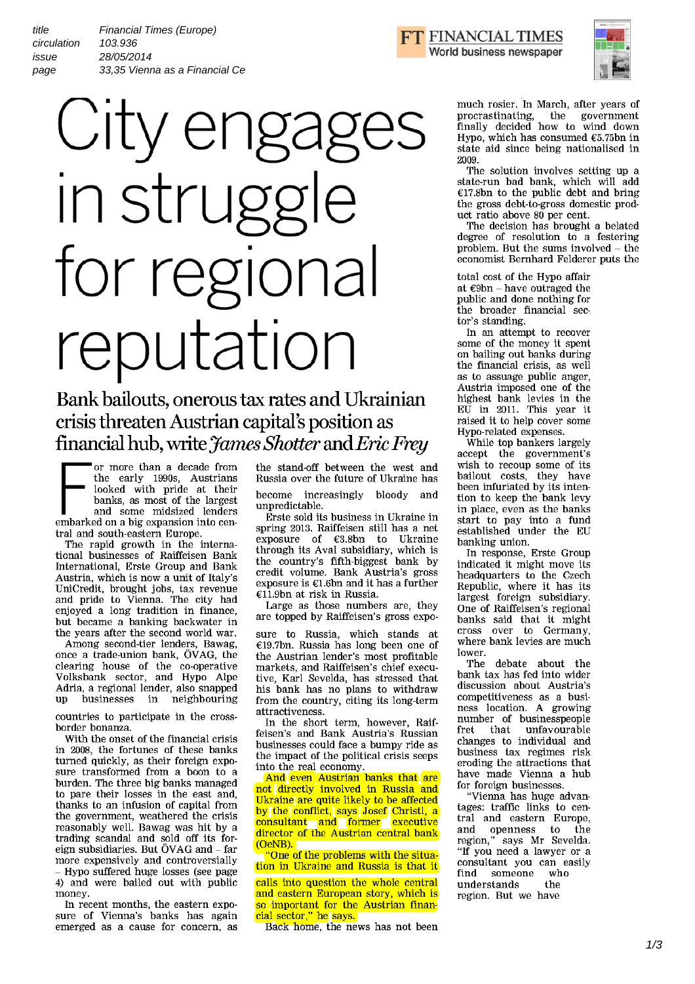title issue page Financial Times (Europe) 28/05/2014 33,35 Vienna as a Financial Ce circulation 103.936



## Bank bailouts, onerous tax rates and Ukrainian crisis threaten Austrian capital's position as financial hub, write *James Shotter* and *Eric Frey*

or more than a decade from<br>the early 1990s, Austrians<br>looked with pride at their<br>banks, as most of the largest<br>and some midsized lenders the early 1990s, Austrians looked with pride at their banks, as most of the largest and some midsized lenders embarked on a big expansion into central and south-eastern Europe.

The rapid growth in the international businesses of Raiffeisen Bank International, Erste Group and Bank Austria, which is now a unit of Italy's UniCredit, brought jobs, tax revenue and pride to Vienna. The city had enjoyed a long tradition in finance, but became a banking backwater in the years after the second world war.

Among second-tier lenders, Bawag, once a trade-union bank, OVAG, the clearing house of the co-operative Volksbank sector, and Hypo Alpe Adria, a regional lender, also snapped in neighbouring

countries to participate in the crossborder bonanza.

With the onset of the financial crisis in 2008, the fortunes of these banks turned quickly, as their foreign exposure transformed from a boon to a burden. The three big banks managed to pare their losses in the east and, thanks to an infusion of capital from the government, weathered the crisis reasonably well. Bawag was hit by a trading scandal and sold off its foreign subsidiaries. But ÖVAG and - far more expensively and controversially - Hypo suffered huge losses (see page 4) and were bailed out with public

money. In recent months, the eastern exposure of Vienna's banks has again emerged as a cause for concern, as the stand-off between the west and Russia over the future of Ukraine has become increasingly bloody and unpredictable.

Erste sold its business in Ukraine in spring 2013. Raiffeisen still has a net exposure of  $E3.8bn$  to Ukraine through its Aval subsidiary, which is the country's fifth-biggest bank by credit volume. Bank Austria's gross exposure is  $E1.6$ bn and it has a further  $£1.9$ bn at risk in Russia.

Large as those numbers are, they are topped by Raiffeisen's gross expo-

sure to Russia, which stands at  $£19.7$ bn. Russia has long been one of the Austrian lender's most profitable markets, and Raiffeisen's chief executive, Karl Sevelda, has stressed that his bank has no plans to withdraw from the country, citing its long-term attractiveness.

In the short term, however, Raiffeisen's and Bank Austria's Russian businesses could face a bumpy ride as the impact of the political crisis seeps into the real economy.

And even Austrian banks that are not directly involved in Russia and Ukraine are quite likely to be affected by the conflict, says Josef Christl, a consultant and former executive director of the Austrian central bank (OeNB).

"One of the problems with the situation in Ukraine and Russia is that it

calls into question the whole central and eastern European story, which is so important for the Austrian financial sector," he says.

Back home, the news has not been





much rosier. In March, after years of procrastinating, the government finally decided how to wind down Hypo, which has consumed  $$5.75$ bn in state aid since being nationalised in 2009.

The solution involves setting up a state-run bad bank, which will add  $£17.8bn$  to the public debt and bring the gross debt-to-gross domestic product ratio above 80 per cent.

The decision has brought a belated degree of resolution to a festering problem. But the sums involved - the economist Bernhard Felderer puts the

total cost of the Hypo affair at  $\epsilon$ 9bn - have outraged the public and done nothing for the broader financial sector's standing.

In an attempt to recover some of the money it spent on bailing out banks during the financial crisis, as well as to assuage public anger, Austria imposed one of the highest bank levies in the EU in 2011. This year it raised it to help cover some Hypo-related expenses.

While top bankers largely accept the government's wish to recoup some of its bailout costs, they have been infuriated by its intention to keep the bank levy in place, even as the banks start to pay into a fund established under the EU banking union.

In response, Erste Group indicated it might move its headquarters to the Czech Republic, where it has its largest foreign subsidiary. One of Raiffeisen's regional banks said that it might cross over to Germany, where bank levies are much

lower.<br>The debate about the bank tax has fed into wider discussion about Austria's competitiveness as a business location. A growing number of businesspeople<br>fret that unfavourable unfavourable changes to individual and business tax regimes risk eroding the attractions that have made Vienna a hub for foreign businesses.

"Vienna has huge advantages: traffic links to central and eastern Europe, and openness to the region," says Mr Sevelda. "If you need a lawyer or a consultant you can easily<br>find someone who someone wh<br>stands the understands region. But we have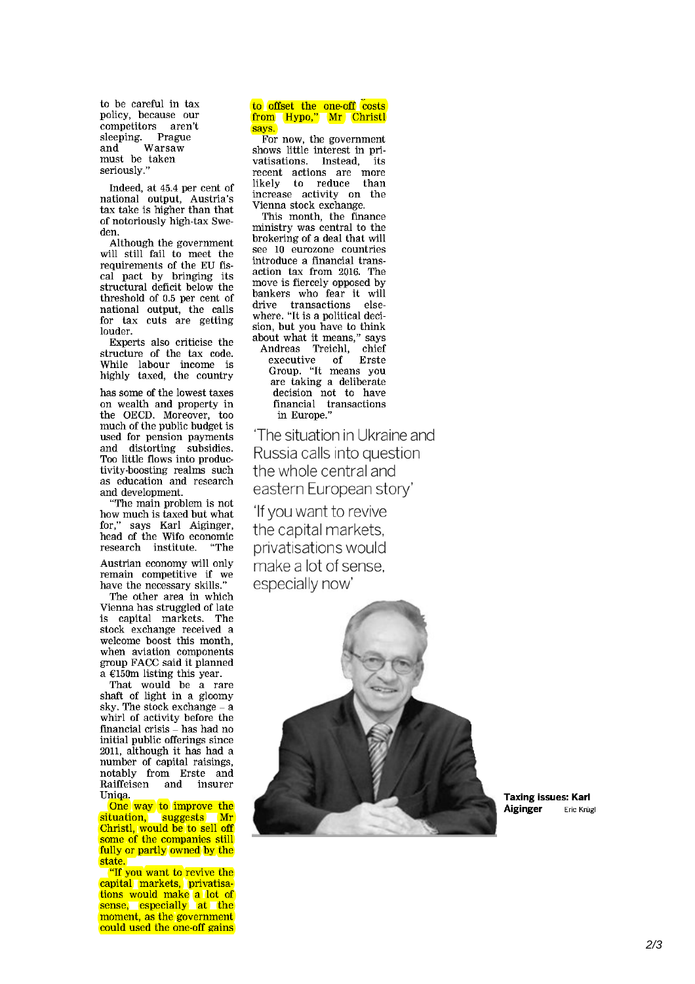to be careful in tax policy, because our competitors aren't<br>sleeping Prague sleeping. Prague and Warsaw must be taken seriously."

Indeed, at 45.4 per cent of national output, Austria's tax take is higher than that of notoriously high-tax Sweden.

Although the government will still fail to meet the requirements of the EU fiscal pact by bringing its structural deficit below the threshold of 0.5 per cent of national output, the calls for tax cuts are getting louder.

Experts also criticise the structure of the tax code. While labour income is highly taxed, the country

has some of the lowest taxes on wealth and property in the OECD. Moreover, too much of the public budget is used for pension payments and distorting subsidies. Too little flows into productivity-boosting realms such as education and research and development.

"The main problem is not how much is taxed but what for," says Karl Aiginger, head of the Wifo economic research institute. "The

Austrian economy will only remain competitive if we have the necessary skills."

The other area in which Vienna has struggled of late is capital markets. The stock exchange received a welcome boost this month, when aviation components group FACC said it planned  $a \in 150$ m listing this year.

That would be a rare shaft of light in a gloomy sky. The stock exchange - a whirl of activity before the financial crisis – has had no initial public offerings since 2011, although it has had a number of capital raisings, notably from Erste and<br>Raiffeisen and insurer Raiffeisen Uniqa.

One way to improve the situation, suggests Mr Christl, would be to sell off some of the companies still fully or partly owned by the state.

"If you want to revive the capital markets, privatisations would make a lot of sense, especially at the moment, as the government could used the one-off gains

## to offset the one-off costs<br>from Hypo," Mr Christl says.

For now, the government shows little interest in privatisations. Instead, its recent actions are more likely to reduce than increase activity on the Vienna stock exchange.

This month, the finance ministry was central to the brokering of a deal that will see 10 eurozone countries introduce a financial transaction tax from 2016. The move is fiercely opposed by bankers who fear it will drive transactions elsewhere. "It is a political decision, but you have to think about what it means," says Andreas Treichl, chief executive of Erste Group. "It means you are taking a deliberate decision not to have financial transactions in Europe."

The situation in Ukraine and Russia calls into question the whole central and eastern European story'

If you want to revive the capital markets, privatisations would make a lot of sense, especially now'



Taxing issues: Karl Aiginger Eric Krügl